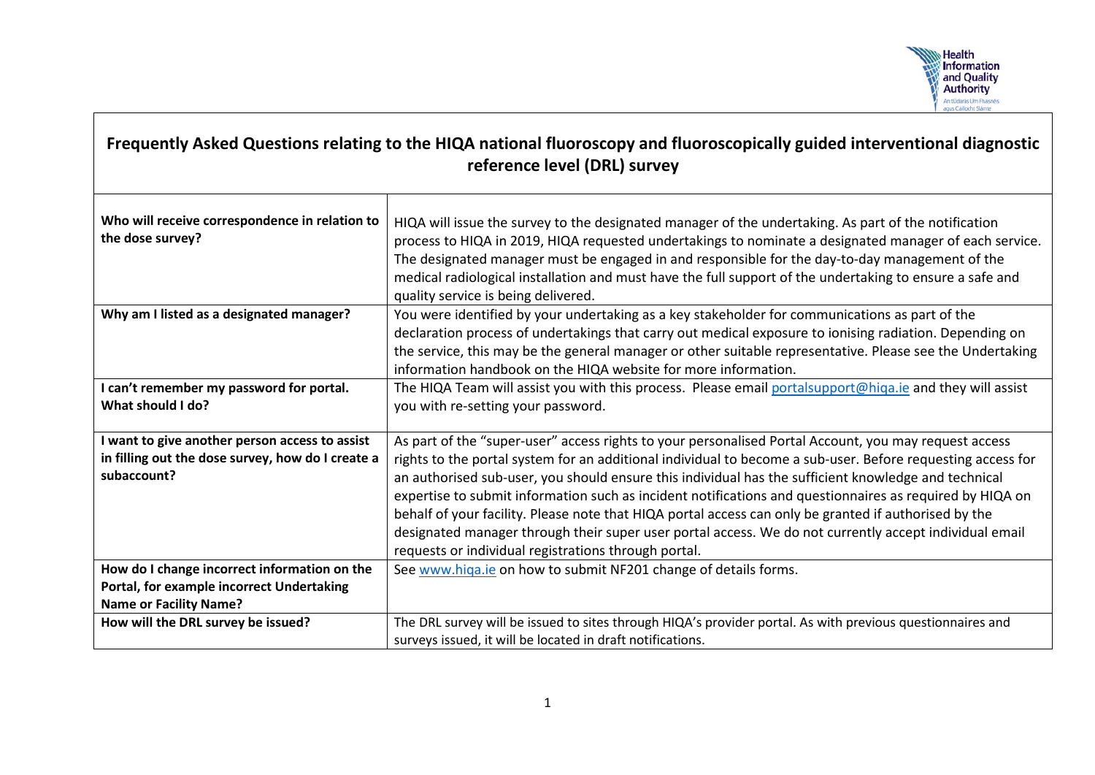

## **Frequently Asked Questions relating to the HIQA national fluoroscopy and fluoroscopically guided interventional diagnostic reference level (DRL) survey**

| Who will receive correspondence in relation to<br>the dose survey? | HIQA will issue the survey to the designated manager of the undertaking. As part of the notification<br>process to HIQA in 2019, HIQA requested undertakings to nominate a designated manager of each service.<br>The designated manager must be engaged in and responsible for the day-to-day management of the<br>medical radiological installation and must have the full support of the undertaking to ensure a safe and<br>quality service is being delivered. |
|--------------------------------------------------------------------|---------------------------------------------------------------------------------------------------------------------------------------------------------------------------------------------------------------------------------------------------------------------------------------------------------------------------------------------------------------------------------------------------------------------------------------------------------------------|
| Why am I listed as a designated manager?                           | You were identified by your undertaking as a key stakeholder for communications as part of the<br>declaration process of undertakings that carry out medical exposure to ionising radiation. Depending on                                                                                                                                                                                                                                                           |
|                                                                    | the service, this may be the general manager or other suitable representative. Please see the Undertaking<br>information handbook on the HIQA website for more information.                                                                                                                                                                                                                                                                                         |
| I can't remember my password for portal.                           | The HIQA Team will assist you with this process. Please email portalsupport@hiqa.ie and they will assist                                                                                                                                                                                                                                                                                                                                                            |
| What should I do?                                                  | you with re-setting your password.                                                                                                                                                                                                                                                                                                                                                                                                                                  |
| I want to give another person access to assist                     | As part of the "super-user" access rights to your personalised Portal Account, you may request access                                                                                                                                                                                                                                                                                                                                                               |
| in filling out the dose survey, how do I create a                  | rights to the portal system for an additional individual to become a sub-user. Before requesting access for                                                                                                                                                                                                                                                                                                                                                         |
| subaccount?                                                        | an authorised sub-user, you should ensure this individual has the sufficient knowledge and technical                                                                                                                                                                                                                                                                                                                                                                |
|                                                                    | expertise to submit information such as incident notifications and questionnaires as required by HIQA on                                                                                                                                                                                                                                                                                                                                                            |
|                                                                    | behalf of your facility. Please note that HIQA portal access can only be granted if authorised by the                                                                                                                                                                                                                                                                                                                                                               |
|                                                                    | designated manager through their super user portal access. We do not currently accept individual email                                                                                                                                                                                                                                                                                                                                                              |
|                                                                    | requests or individual registrations through portal.                                                                                                                                                                                                                                                                                                                                                                                                                |
| How do I change incorrect information on the                       | See www.higa.ie on how to submit NF201 change of details forms.                                                                                                                                                                                                                                                                                                                                                                                                     |
| Portal, for example incorrect Undertaking                          |                                                                                                                                                                                                                                                                                                                                                                                                                                                                     |
| <b>Name or Facility Name?</b>                                      |                                                                                                                                                                                                                                                                                                                                                                                                                                                                     |
| How will the DRL survey be issued?                                 | The DRL survey will be issued to sites through HIQA's provider portal. As with previous questionnaires and                                                                                                                                                                                                                                                                                                                                                          |
|                                                                    | surveys issued, it will be located in draft notifications.                                                                                                                                                                                                                                                                                                                                                                                                          |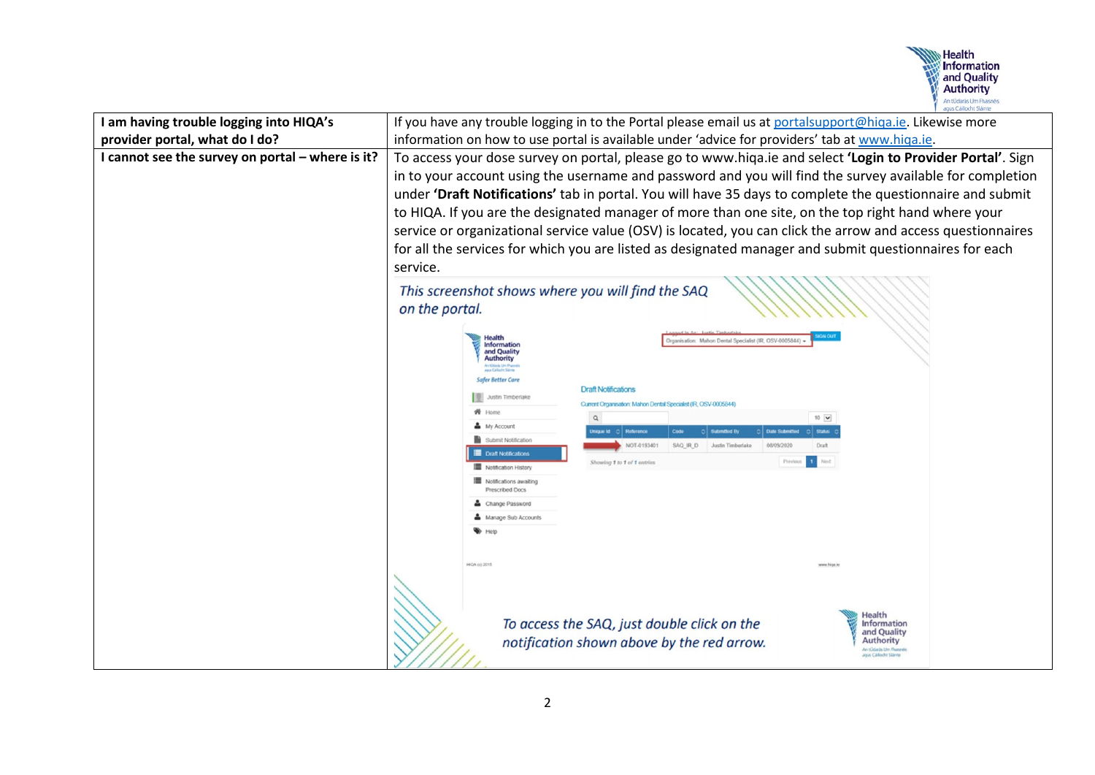

| I am having trouble logging into HIQA's          | If you have any trouble logging in to the Portal please email us at portalsupport@higa.ie. Likewise more                                                                                                                                                                                                                                                                                                                                                                                                                                                                                                                                                                                                                                                                                                                                                                                                                                    |
|--------------------------------------------------|---------------------------------------------------------------------------------------------------------------------------------------------------------------------------------------------------------------------------------------------------------------------------------------------------------------------------------------------------------------------------------------------------------------------------------------------------------------------------------------------------------------------------------------------------------------------------------------------------------------------------------------------------------------------------------------------------------------------------------------------------------------------------------------------------------------------------------------------------------------------------------------------------------------------------------------------|
| provider portal, what do I do?                   | information on how to use portal is available under 'advice for providers' tab at www.hiqa.ie.                                                                                                                                                                                                                                                                                                                                                                                                                                                                                                                                                                                                                                                                                                                                                                                                                                              |
| I cannot see the survey on portal - where is it? | To access your dose survey on portal, please go to www.hiqa.ie and select 'Login to Provider Portal'. Sign<br>in to your account using the username and password and you will find the survey available for completion<br>under 'Draft Notifications' tab in portal. You will have 35 days to complete the questionnaire and submit<br>to HIQA. If you are the designated manager of more than one site, on the top right hand where your<br>service or organizational service value (OSV) is located, you can click the arrow and access questionnaires<br>for all the services for which you are listed as designated manager and submit questionnaires for each<br>service.                                                                                                                                                                                                                                                              |
|                                                  | This screenshot shows where you will find the SAQ<br>on the portal.<br>ganisation: Mahon Dental Specialist (IR, OSV-0005844)<br><b>Information</b><br>and Quality<br><b>Authority</b><br>agua Calibohe Siama<br>Safer Better Care<br><b>Draft Notifications</b><br>Justin Timberlake<br>Current Organisation: Mahon Dental Specialist (IR, OSV-0005844<br>骨 Home<br>$10$ $\vee$<br>$\alpha$<br>My Account<br>Reference<br>Submitted B<br><b>Status</b><br>bi aupini<br>Submit Notification<br><b>NOT-019340</b><br>Draft<br><b>RI 042</b><br><b>Draft Notifications</b><br>Next<br>Showing 1 to 1 of 1 entries<br>Notification History<br>Notifications awaiting<br>Prescribed Docs<br>Change Password<br>Manage Sub Accounts<br><b>HGA (c) 2015</b><br>Health<br>To access the SAQ, just double click on the<br><b>Information</b><br>and Quality<br>notification shown above by the red arrow.<br><b>Authority</b><br>An tOdarás Um Phase |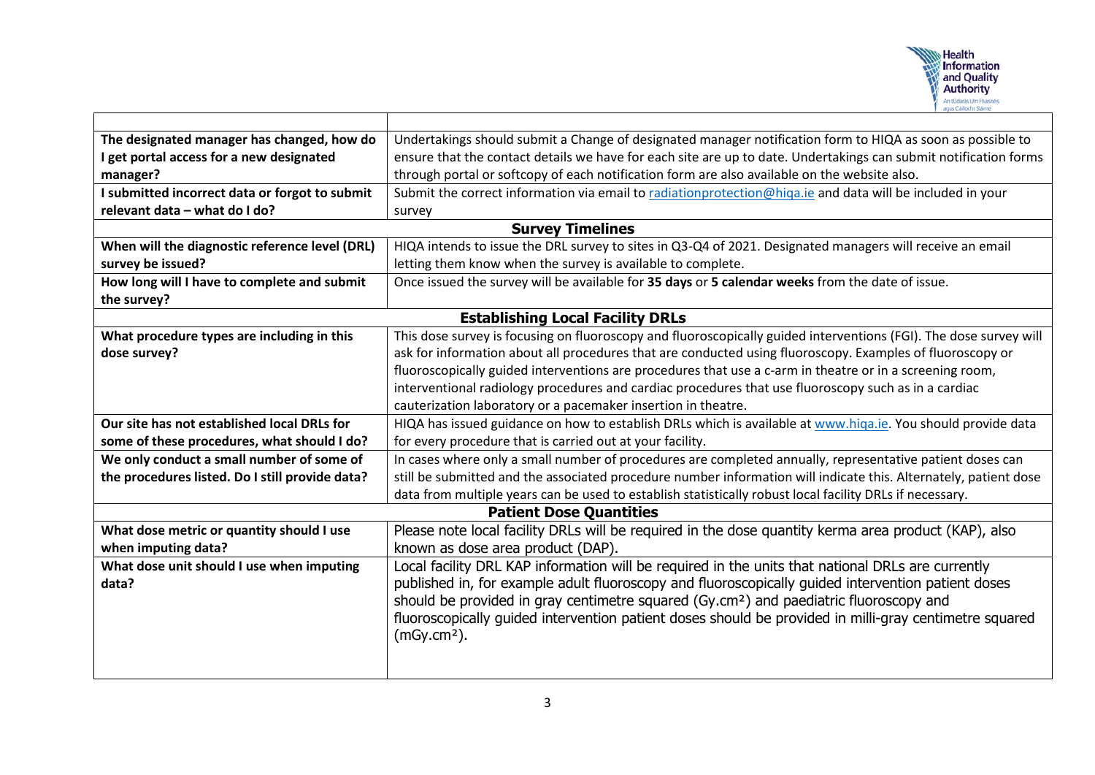

| The designated manager has changed, how do      | Undertakings should submit a Change of designated manager notification form to HIQA as soon as possible to        |  |
|-------------------------------------------------|-------------------------------------------------------------------------------------------------------------------|--|
| I get portal access for a new designated        | ensure that the contact details we have for each site are up to date. Undertakings can submit notification forms  |  |
| manager?                                        | through portal or softcopy of each notification form are also available on the website also.                      |  |
| I submitted incorrect data or forgot to submit  | Submit the correct information via email to radiationprotection@higa.ie and data will be included in your         |  |
| relevant data - what do I do?                   | survey                                                                                                            |  |
| <b>Survey Timelines</b>                         |                                                                                                                   |  |
| When will the diagnostic reference level (DRL)  | HIQA intends to issue the DRL survey to sites in Q3-Q4 of 2021. Designated managers will receive an email         |  |
| survey be issued?                               | letting them know when the survey is available to complete.                                                       |  |
| How long will I have to complete and submit     | Once issued the survey will be available for 35 days or 5 calendar weeks from the date of issue.                  |  |
| the survey?                                     |                                                                                                                   |  |
| <b>Establishing Local Facility DRLs</b>         |                                                                                                                   |  |
| What procedure types are including in this      | This dose survey is focusing on fluoroscopy and fluoroscopically guided interventions (FGI). The dose survey will |  |
| dose survey?                                    | ask for information about all procedures that are conducted using fluoroscopy. Examples of fluoroscopy or         |  |
|                                                 | fluoroscopically guided interventions are procedures that use a c-arm in theatre or in a screening room,          |  |
|                                                 | interventional radiology procedures and cardiac procedures that use fluoroscopy such as in a cardiac              |  |
|                                                 | cauterization laboratory or a pacemaker insertion in theatre.                                                     |  |
| Our site has not established local DRLs for     | HIQA has issued guidance on how to establish DRLs which is available at www.higa.ie. You should provide data      |  |
| some of these procedures, what should I do?     | for every procedure that is carried out at your facility.                                                         |  |
| We only conduct a small number of some of       | In cases where only a small number of procedures are completed annually, representative patient doses can         |  |
| the procedures listed. Do I still provide data? | still be submitted and the associated procedure number information will indicate this. Alternately, patient dose  |  |
|                                                 | data from multiple years can be used to establish statistically robust local facility DRLs if necessary.          |  |
| <b>Patient Dose Quantities</b>                  |                                                                                                                   |  |
| What dose metric or quantity should I use       | Please note local facility DRLs will be required in the dose quantity kerma area product (KAP), also              |  |
| when imputing data?                             | known as dose area product (DAP).                                                                                 |  |
| What dose unit should I use when imputing       | Local facility DRL KAP information will be required in the units that national DRLs are currently                 |  |
| data?                                           | published in, for example adult fluoroscopy and fluoroscopically guided intervention patient doses                |  |
|                                                 | should be provided in gray centimetre squared (Gy.cm <sup>2</sup> ) and paediatric fluoroscopy and                |  |
|                                                 | fluoroscopically guided intervention patient doses should be provided in milli-gray centimetre squared            |  |
|                                                 | $(mGy.cm2)$ .                                                                                                     |  |
|                                                 |                                                                                                                   |  |
|                                                 |                                                                                                                   |  |